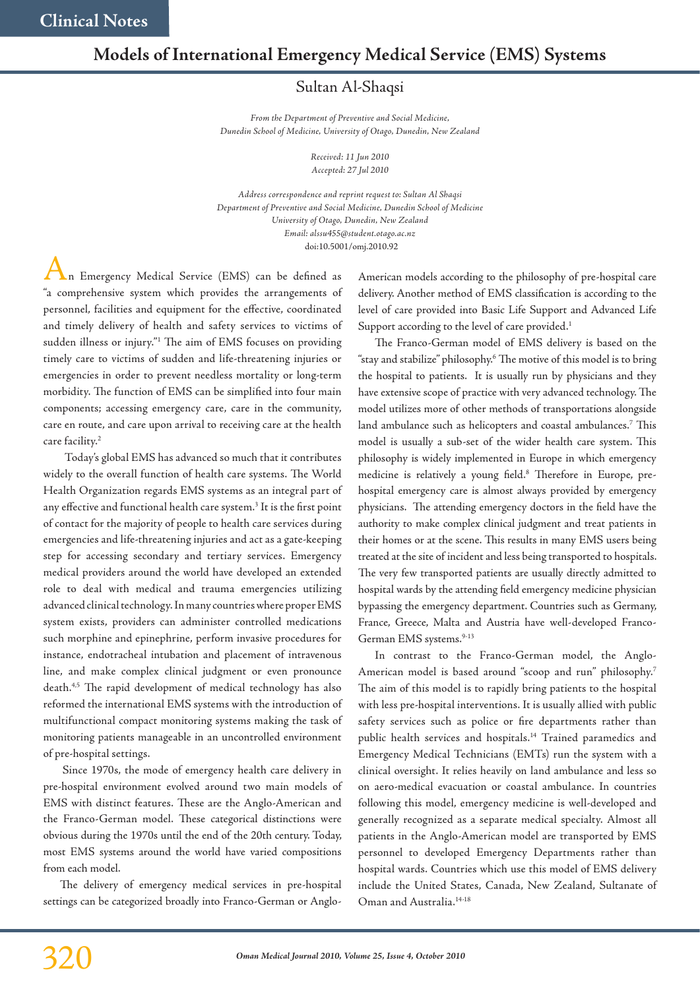## **Models of International Emergency Medical Service (EMS) Systems**

## Sultan Al-Shaqsi

*From the Department of Preventive and Social Medicine, Dunedin School of Medicine, University of Otago, Dunedin, New Zealand*

> *Received: 11 Jun 2010 Accepted: 27 Jul 2010*

doi:10.5001/omj.2010.92 *Address correspondence and reprint request to: Sultan Al Shaqsi Department of Preventive and Social Medicine, Dunedin School of Medicine University of Otago, Dunedin, New Zealand Email: alssu455@student.otago.ac.nz*

n Emergency Medical Service (EMS) can be defined as "a comprehensive system which provides the arrangements of personnel, facilities and equipment for the effective, coordinated and timely delivery of health and safety services to victims of sudden illness or injury."1 The aim of EMS focuses on providing timely care to victims of sudden and life-threatening injuries or emergencies in order to prevent needless mortality or long-term morbidity. The function of EMS can be simplified into four main components; accessing emergency care, care in the community, care en route, and care upon arrival to receiving care at the health care facility.<sup>2</sup>

 Today's global EMS has advanced so much that it contributes widely to the overall function of health care systems. The World Health Organization regards EMS systems as an integral part of any effective and functional health care system.<sup>3</sup> It is the first point of contact for the majority of people to health care services during emergencies and life-threatening injuries and act as a gate-keeping step for accessing secondary and tertiary services. Emergency medical providers around the world have developed an extended role to deal with medical and trauma emergencies utilizing advanced clinical technology. In many countries where proper EMS system exists, providers can administer controlled medications such morphine and epinephrine, perform invasive procedures for instance, endotracheal intubation and placement of intravenous line, and make complex clinical judgment or even pronounce death.4,5 The rapid development of medical technology has also reformed the international EMS systems with the introduction of multifunctional compact monitoring systems making the task of monitoring patients manageable in an uncontrolled environment of pre-hospital settings.

 Since 1970s, the mode of emergency health care delivery in pre-hospital environment evolved around two main models of EMS with distinct features. These are the Anglo-American and the Franco-German model. These categorical distinctions were obvious during the 1970s until the end of the 20th century. Today, most EMS systems around the world have varied compositions from each model.

The delivery of emergency medical services in pre-hospital settings can be categorized broadly into Franco-German or Anglo-

American models according to the philosophy of pre-hospital care delivery. Another method of EMS classification is according to the level of care provided into Basic Life Support and Advanced Life Support according to the level of care provided.<sup>1</sup>

The Franco-German model of EMS delivery is based on the "stay and stabilize" philosophy.6 The motive of this model is to bring the hospital to patients. It is usually run by physicians and they have extensive scope of practice with very advanced technology. The model utilizes more of other methods of transportations alongside land ambulance such as helicopters and coastal ambulances.<sup>7</sup> This model is usually a sub-set of the wider health care system. This philosophy is widely implemented in Europe in which emergency medicine is relatively a young field.<sup>8</sup> Therefore in Europe, prehospital emergency care is almost always provided by emergency physicians. The attending emergency doctors in the field have the authority to make complex clinical judgment and treat patients in their homes or at the scene. This results in many EMS users being treated at the site of incident and less being transported to hospitals. The very few transported patients are usually directly admitted to hospital wards by the attending field emergency medicine physician bypassing the emergency department. Countries such as Germany, France, Greece, Malta and Austria have well-developed Franco-German EMS systems.<sup>9-13</sup>

In contrast to the Franco-German model, the Anglo-American model is based around "scoop and run" philosophy.7 The aim of this model is to rapidly bring patients to the hospital with less pre-hospital interventions. It is usually allied with public safety services such as police or fire departments rather than public health services and hospitals.<sup>14</sup> Trained paramedics and Emergency Medical Technicians (EMTs) run the system with a clinical oversight. It relies heavily on land ambulance and less so on aero-medical evacuation or coastal ambulance. In countries following this model, emergency medicine is well-developed and generally recognized as a separate medical specialty. Almost all patients in the Anglo-American model are transported by EMS personnel to developed Emergency Departments rather than hospital wards. Countries which use this model of EMS delivery include the United States, Canada, New Zealand, Sultanate of Oman and Australia.14-18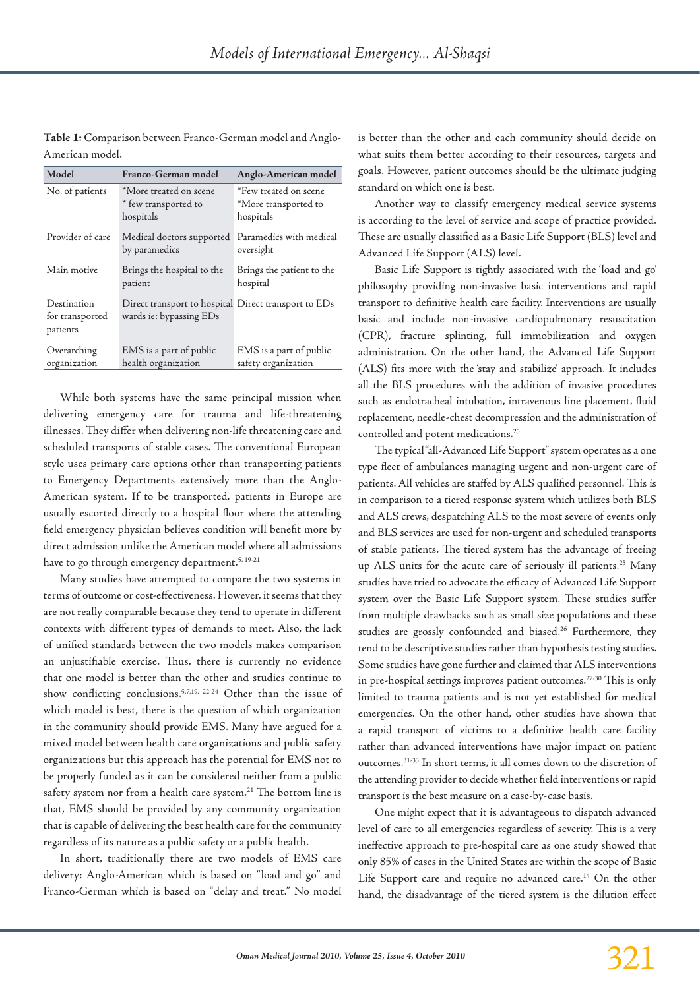**Table 1:** Comparison between Franco-German model and Anglo-American model.

| Model            | Franco-German model                                  | Anglo-American model                  |
|------------------|------------------------------------------------------|---------------------------------------|
| No. of patients  | *More treated on scene                               | *Few treated on scene                 |
|                  | * few transported to                                 | *More transported to                  |
|                  | hospitals                                            | hospitals                             |
| Provider of care | Medical doctors supported<br>by paramedics           | Paramedics with medical<br>oversight  |
| Main motive      | Brings the hospital to the<br>patient                | Brings the patient to the<br>hospital |
| Destination      | Direct transport to hospital Direct transport to EDs |                                       |
| for transported  | wards ie: bypassing EDs                              |                                       |
| patients         |                                                      |                                       |
| Overarching      | EMS is a part of public                              | EMS is a part of public               |
| organization     | health organization                                  | safety organization                   |

While both systems have the same principal mission when delivering emergency care for trauma and life-threatening illnesses. They differ when delivering non-life threatening care and scheduled transports of stable cases. The conventional European style uses primary care options other than transporting patients to Emergency Departments extensively more than the Anglo-American system. If to be transported, patients in Europe are usually escorted directly to a hospital floor where the attending field emergency physician believes condition will benefit more by direct admission unlike the American model where all admissions have to go through emergency department.<sup>5, 19-21</sup>

Many studies have attempted to compare the two systems in terms of outcome or cost-effectiveness. However, it seems that they are not really comparable because they tend to operate in different contexts with different types of demands to meet. Also, the lack of unified standards between the two models makes comparison an unjustifiable exercise. Thus, there is currently no evidence that one model is better than the other and studies continue to show conflicting conclusions.5,7,19, 22-24 Other than the issue of which model is best, there is the question of which organization in the community should provide EMS. Many have argued for a mixed model between health care organizations and public safety organizations but this approach has the potential for EMS not to be properly funded as it can be considered neither from a public safety system nor from a health care system.<sup>21</sup> The bottom line is that, EMS should be provided by any community organization that is capable of delivering the best health care for the community regardless of its nature as a public safety or a public health.

In short, traditionally there are two models of EMS care delivery: Anglo-American which is based on "load and go" and Franco-German which is based on "delay and treat." No model

is better than the other and each community should decide on what suits them better according to their resources, targets and goals. However, patient outcomes should be the ultimate judging standard on which one is best.

Another way to classify emergency medical service systems is according to the level of service and scope of practice provided. These are usually classified as a Basic Life Support (BLS) level and Advanced Life Support (ALS) level.

Basic Life Support is tightly associated with the 'load and go' philosophy providing non-invasive basic interventions and rapid transport to definitive health care facility. Interventions are usually basic and include non-invasive cardiopulmonary resuscitation (CPR), fracture splinting, full immobilization and oxygen administration. On the other hand, the Advanced Life Support (ALS) fits more with the 'stay and stabilize' approach. It includes all the BLS procedures with the addition of invasive procedures such as endotracheal intubation, intravenous line placement, fluid replacement, needle-chest decompression and the administration of controlled and potent medications.<sup>25</sup>

The typical "all-Advanced Life Support" system operates as a one type fleet of ambulances managing urgent and non-urgent care of patients. All vehicles are staffed by ALS qualified personnel. This is in comparison to a tiered response system which utilizes both BLS and ALS crews, despatching ALS to the most severe of events only and BLS services are used for non-urgent and scheduled transports of stable patients. The tiered system has the advantage of freeing up ALS units for the acute care of seriously ill patients.25 Many studies have tried to advocate the efficacy of Advanced Life Support system over the Basic Life Support system. These studies suffer from multiple drawbacks such as small size populations and these studies are grossly confounded and biased.<sup>26</sup> Furthermore, they tend to be descriptive studies rather than hypothesis testing studies. Some studies have gone further and claimed that ALS interventions in pre-hospital settings improves patient outcomes.<sup>27-30</sup> This is only limited to trauma patients and is not yet established for medical emergencies. On the other hand, other studies have shown that a rapid transport of victims to a definitive health care facility rather than advanced interventions have major impact on patient outcomes.31-33 In short terms, it all comes down to the discretion of the attending provider to decide whether field interventions or rapid transport is the best measure on a case-by-case basis.

One might expect that it is advantageous to dispatch advanced level of care to all emergencies regardless of severity. This is a very ineffective approach to pre-hospital care as one study showed that only 85% of cases in the United States are within the scope of Basic Life Support care and require no advanced care.<sup>14</sup> On the other hand, the disadvantage of the tiered system is the dilution effect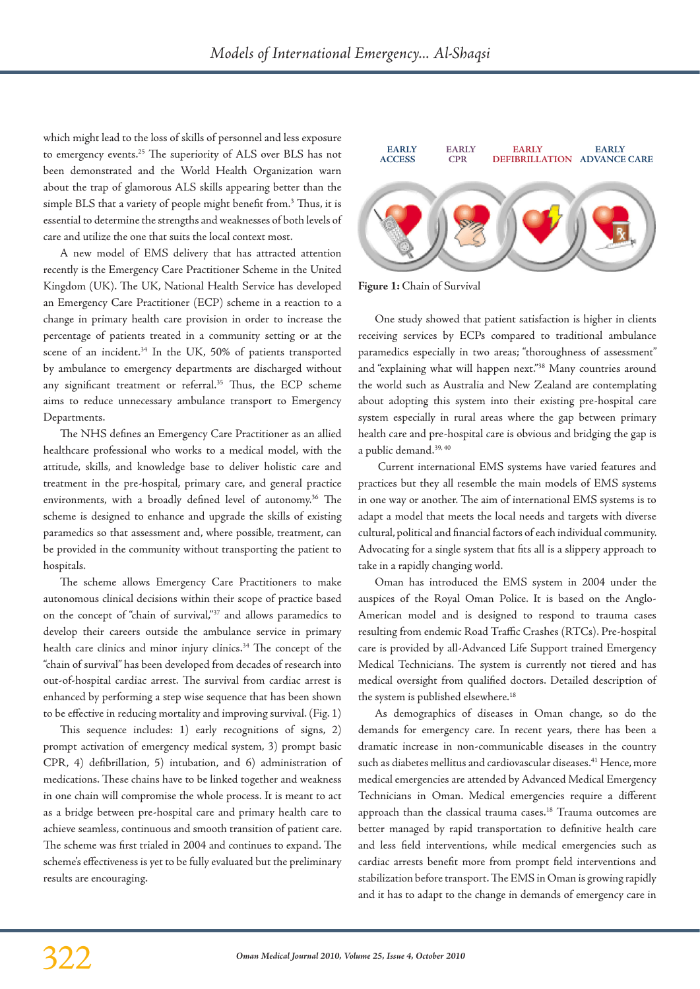which might lead to the loss of skills of personnel and less exposure to emergency events.<sup>25</sup> The superiority of ALS over BLS has not been demonstrated and the World Health Organization warn about the trap of glamorous ALS skills appearing better than the simple BLS that a variety of people might benefit from.<sup>3</sup> Thus, it is essential to determine the strengths and weaknesses of both levels of care and utilize the one that suits the local context most.

A new model of EMS delivery that has attracted attention recently is the Emergency Care Practitioner Scheme in the United Kingdom (UK). The UK, National Health Service has developed an Emergency Care Practitioner (ECP) scheme in a reaction to a change in primary health care provision in order to increase the percentage of patients treated in a community setting or at the scene of an incident.<sup>34</sup> In the UK, 50% of patients transported by ambulance to emergency departments are discharged without any significant treatment or referral.<sup>35</sup> Thus, the ECP scheme aims to reduce unnecessary ambulance transport to Emergency Departments.

The NHS defines an Emergency Care Practitioner as an allied healthcare professional who works to a medical model, with the attitude, skills, and knowledge base to deliver holistic care and treatment in the pre-hospital, primary care, and general practice environments, with a broadly defined level of autonomy.<sup>36</sup> The scheme is designed to enhance and upgrade the skills of existing paramedics so that assessment and, where possible, treatment, can be provided in the community without transporting the patient to hospitals.

The scheme allows Emergency Care Practitioners to make autonomous clinical decisions within their scope of practice based on the concept of "chain of survival,"37 and allows paramedics to develop their careers outside the ambulance service in primary health care clinics and minor injury clinics.<sup>34</sup> The concept of the "chain of survival" has been developed from decades of research into out-of-hospital cardiac arrest. The survival from cardiac arrest is enhanced by performing a step wise sequence that has been shown to be effective in reducing mortality and improving survival. (Fig. 1)

This sequence includes: 1) early recognitions of signs, 2) prompt activation of emergency medical system, 3) prompt basic CPR, 4) defibrillation, 5) intubation, and 6) administration of medications. These chains have to be linked together and weakness in one chain will compromise the whole process. It is meant to act as a bridge between pre-hospital care and primary health care to achieve seamless, continuous and smooth transition of patient care. The scheme was first trialed in 2004 and continues to expand. The scheme's effectiveness is yet to be fully evaluated but the preliminary results are encouraging.



**Figure 1:** Chain of Survival

One study showed that patient satisfaction is higher in clients receiving services by ECPs compared to traditional ambulance paramedics especially in two areas; "thoroughness of assessment" and "explaining what will happen next."38 Many countries around the world such as Australia and New Zealand are contemplating about adopting this system into their existing pre-hospital care system especially in rural areas where the gap between primary health care and pre-hospital care is obvious and bridging the gap is a public demand.<sup>39, 40</sup>

 Current international EMS systems have varied features and practices but they all resemble the main models of EMS systems in one way or another. The aim of international EMS systems is to adapt a model that meets the local needs and targets with diverse cultural, political and financial factors of each individual community. Advocating for a single system that fits all is a slippery approach to take in a rapidly changing world.

Oman has introduced the EMS system in 2004 under the auspices of the Royal Oman Police. It is based on the Anglo-American model and is designed to respond to trauma cases resulting from endemic Road Traffic Crashes (RTCs). Pre-hospital care is provided by all-Advanced Life Support trained Emergency Medical Technicians. The system is currently not tiered and has medical oversight from qualified doctors. Detailed description of the system is published elsewhere.<sup>18</sup>

As demographics of diseases in Oman change, so do the demands for emergency care. In recent years, there has been a dramatic increase in non-communicable diseases in the country such as diabetes mellitus and cardiovascular diseases.<sup>41</sup> Hence, more medical emergencies are attended by Advanced Medical Emergency Technicians in Oman. Medical emergencies require a different approach than the classical trauma cases.<sup>18</sup> Trauma outcomes are better managed by rapid transportation to definitive health care and less field interventions, while medical emergencies such as cardiac arrests benefit more from prompt field interventions and stabilization before transport. The EMS in Oman is growing rapidly and it has to adapt to the change in demands of emergency care in